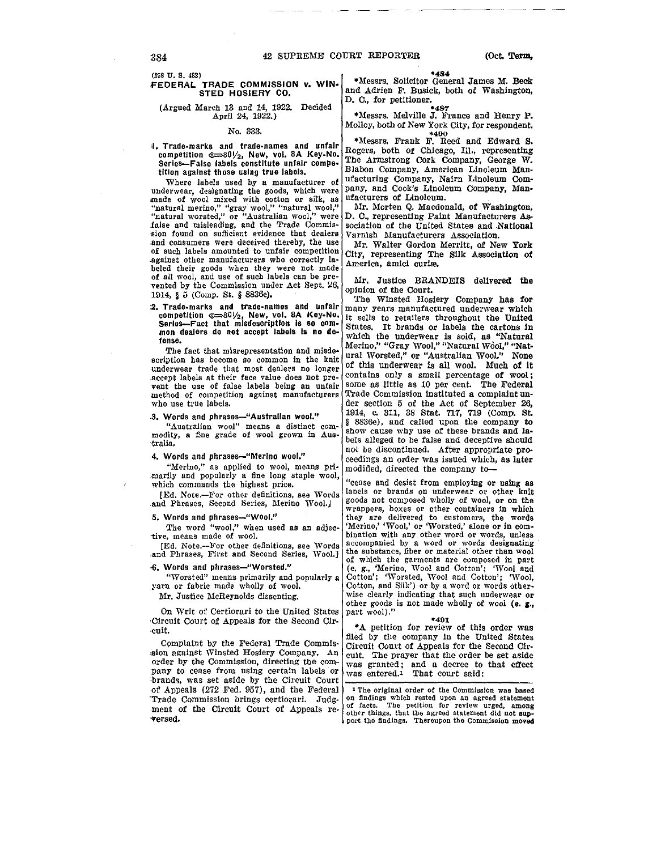# (258 H. S. 483)

FEDERAL TRADE **COMMISSION v. WIN•**  STED HOSIERY CO.

## (Argued March 13 and 14, 1922. Decided April 24, 1922.)

#### No. 333.

~. Trade-marks and trade-names and unfair competition  $\epsilon = 80\frac{1}{2}$ , New, vol. 8A Key-No. Series-False labels constitute unfair competltion against those using true labels.

Where labels used by a manufacturer of underwear, designating the goods, which were underwear, designating the goods, which were made of wool mixed with cotton or silk, as "natural merino," "gray wool," "natural wool," "natural worsted," or "Australian wool," were false and misleading, and the Trade Commission found on sufficient evidence that dealers and consumers were deceived thereby, the use of such labels amounted to unfair competition .against other manufacturers who correctly labeled their goods when they were not made of all wool, and use of such labels can be prevented by the Commission under Act Sept. 26, 1914, § 5 (Comp. St. § 8836e).

:2. Trade-marks and trade-names and unfair competition  $\otimes$ = $80\frac{1}{2}$ , New, vol. 8A Key-No.<br>Series-Fact that misdescription is so com-<br>mon dealers do not accept labels is no defense.

The fact that misrepresentation and misdescription has become so common in the knit -underwear trade that most dealers no longer accept labels at their face value does not prevent the use of false labels being an unfair method of competition against manufacturers who use true labels.

#### .3. Words and phrases-"Australlan wool."

"Australian wool" means a distinct com-<br>modity, a fine grade of wool grown in Australia.

## 4. Words and phrases-"Merino wool."

"Merino," as applied to wool, means primarily and popularly a fine long staple wool, which commands the highest price.

[Ed. Note.--For other definitions, see Words .and Phrases, Second Series, Merino Wool.]

## 5, Words and phrases-"Wool."

The word "wool," when used as an adjec tive, means made of wool.

[Ed. Note.-For other definitions, see Words and Phrases, First and Second Series, Wool.]

#### -6. Words and phrases-"Worsted." 4

'Worsted" means primarily and popularly a \_yarn or fabric made wholly of wool.

Mr. Justice McReynolds dissenting.

On Writ of Certiorari to the United States ·Circuit Court of Appeals for the Second Cir ·Cuit.

Complaint by the Federal Trade Commis-,sion against Winsted Hosiery Company. An order by the Commission, directing the com pany to cease from using certain labels or -brands, was set aside by the Circuit Court of Appeals (272 Fed. 957), and the Federal Trade Commission brings certiorari. Judg .ment of the Circuit Court of Appeals re -versed,

#### •484

•Messrs. Solicitor General James M. Beck and Adrien F. Busick, both of Washington, D. C., for petitioner.

•48'1'

•Messrs. Melville J. France and Henry P. Molloy, both of New York City, for respondent. \*400

•Messrs. Frank F. Reed and Edward S. Rogers, both of Chicago, Ill., representing The Armstrong Cork Company, George W. Blabon Company, American Linoleum Manufacturing Company, Nairn Linoleum Company, and Cook's Linoleum Company, Manufacturers of Linoleum.

Mr. Morten Q. Macdonald, of Washington, D. C., representing Paint Manufacturers Association of the United States and National Varnish Manufacturers Association.

Mr. Walter Gordon Merritt, of New York City, representing The Silk Association of America, amici curiæ.

Mr. Justice BRANDEIS delivered the opinion of the Court.

The Winsted Hosiery Company has for many years manufactured underwear which it sells to retailers throughout the United States. It brands or labels the cartons in which the underwear is sold, as "Natural Merino," "Gray Wool," "Natural Wòol," "Natural Worsted," or "Australian Wool," None of this underwear Is **all** wool. Much **of It**  contains on1y a small percentage of wool; some as little as 10 per cent. The Federal Trade Commission instituted a complaint under section 5 of the Act of September 26, 1914, c. 311, 38 Stat. 717, 719 (Comp. St. § 8836e), and called upon the company to show cause why use of these brands and labels alleged to be false and deceptive should not be discontinued. After appropriate proceedings an order was issued which, as later modified, directed the company to-

"cense and desist from employing or using as lnbels or brands on underwear or other knit goods not composed wholly of wool, or on the wrappers, boxes or other containers in which they are delivered to customers, the words<br>'Merino,' 'Wool,' or 'Worsted,' alone or in com-<br>bination with any other word or words, unless bination with any other word or words, unless accompanied by a word or words designating the substance, fiber or material other than wool of which the garments are composed in part (e, g., 'Merino, Wool and Cotton'; 'Wool and Cotton'; 'Worsted, Wool and Cotton'; 'Wool, Cotton, and Silk') or by a word or words other-<br>wise clearly indicating that such underwear or other goods is not made wholly of wool (e. g., part wool)."

\*401 \*401<br>\*A petition for review of this order was filed by the company in the United States Circuit Court of Appeals for the Second Circuit. The prayer that the order be set aside was granted; and a decree to that effect was entered.<sup>1</sup> That court said:

1 The orlglnal order *ot* the Commlsslon was based on findings which rested upon an agreed statement *ot* facts. The petition for review: urged, among other things, that the agreed statement did not support the findings. Thereupon the Commission moved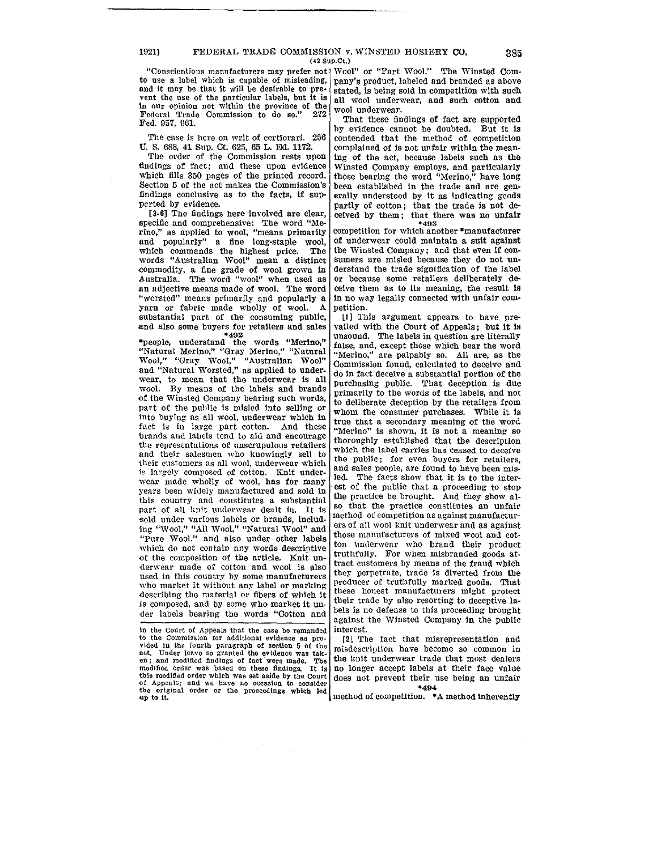to use a label which is capable of misleading, and it may be that it will be desirable to prevent the use of the particular labels, but it is in our opinion not within the province of the<br>Federal Trade Commission to do so." 272 Federal Trade Commission to do so." Fed. 957, 961.

The case is here on writ of certiorari. 256 U. S. 688, 41 Sup. Ct. 625, 65 L. Ed. 1172.

The order of the Commission rests upon findings of fact; and these upon evidence which fills 850 pages of the printed record. Section 5 of the act makes the Commission's findings conclusive as to the facts, if sup. pcrted by evidence.

(3-6] The findings here involved are clear, specific and comprehensive: The word ''Me rino," as applied to wool, "means primarily and popularly" a fine long-staple wool, which commands the highest price. The words "Australian Wool" mean a distinct .commodity, a fine grade of wool grown in Australia. The word "wool" when used as an adjective means made of wool. The word "worsted'' means primarily and popularly a yarn or fabric made wholly of wool. A substantial part of the consuming public, and also some buyers for retailers and sales •49z

\*people, understand the words "Merino," "Natural Merino," "Gray Merino," "Natural Wool," "Gray Wool," "Australian Wool'' and "Natural Worsted," as applied to underwear, to mean that the underwear is all wool. By means of the labels and brands of the Winsted Company bearing such words, part of the public is misled into selling or into buying as all wool, underwear which in fact is in large part cotton. And these brands and labels tend to aid and encourage the representations of unscrupulous retailers and their salesmen who knowingly sell to their customers as all wool, underwear which is In rgely composed of cotton. Knit under wear made wholly of wool, has for many years been widely manufactured and sold in this country and constitutes a substantial part of all knit underwear dealt in. It is -sold under various labels or brands, including "Wool," "All Wool," "Natural Wool" and "Pure Wool," and also under other labels which do not contain any words descriptive -of the composition of the article. Knit un- -derwear made of cotton and wool is also used in this country by some manufacturers who market it without any label or marking describing the material or fibers of which it is composed, and by some who market it under labels bearing the words "Cotton and

in the Court of Appeals that the case be remanded to the Commission for additional evidence as provided in the fourth paragraph of section 5 of the evidence was takener, and modified findings of fact were made. The modified order was based on these findings. It is modified order was based on these findings. this modified order which was set aside by the Court of Appeals; and we have no occasion to consider the original order or the proceedings which led up to it.

 $\sim$ 

"Conscientious manufacturers may prefer not 'Wool" or "Part Wool." The Winsted Company's product, labeled and branded as above stated, is being sold in competition with such all wool underwear, and such cotton and wool underwear.

That these findings of fact are supported by evidence cannot be doubted. But it is contended that the method of competition complained of is not unfair within the meaning of the act, because labels such as the Winsted Company employs, and particularly those bearing the word "Merino," have long been established in the trade and are generally understood by it as indicating goods partly of cotton; that the trade is not deceived by them ; that there was no unfair •493

competition for which another \*manufacturer of underwear could maintain a suit against the Winsted Company; and that even if consumers are misled because they do not understand the trade signification of the label or because some retailers deliberately deceive them as to its meaning, the result is in no way legally connected with unfair competition.

L1] 'l'his argument appears to have pr~ vailed with the Court of Appeals; but it is unsound. The labels in question are literally false, and, except those which bear the word "Merino," are palpably so. All are, as the Commission found, calculated to deceive and do in fact deceive a substantial portion of the purchasing public. That deception is due primarily to the words of the labels, and not to deliberate deception by the retailers from whom the consumer purchases, While it is true that a secondary meaning of the word "Merino" is shown, it is not a meaning so thoroughly established that the description which the label carries has ceased to deceive the public; for even buyers for retailers, and sales people, are found to have been misled. The facts show that it is to the interest of the public that a proceeding to stopthe practice be brought. And they show also that the practice constitutes an unfair method of competition as against manufacturers of all wool knit undenvear and as against those manufacturers of mixed wool and cotton underwear who brand their product truthfully. For when misbranded goods attract customers by means of the fraud which they perpetrate, trade is diverted from the producer of truthfully marked goods. That these honest manufacturers might protect their trade by also resorting to deceptive labels is no defense to this proceeding brought against the Winsted Company in the public interest.

[2] The fact that misrepresentation and misdcscription have become so common in the knit underwear trade that most dealers no longer accept labels at their face value does not prevent their use being an unfair •494

method of competltion. \*A method inherently